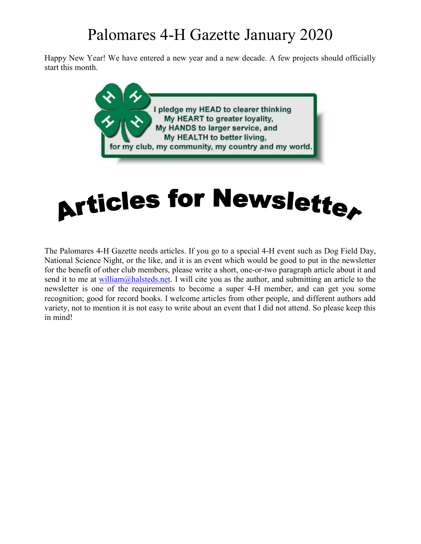## Palomares 4-H Gazette January 2020

Happy New Year! We have entered a new year and a new decade. A few projects should officially start this month.





The Palomares 4-H Gazette needs articles. If you go to a special 4-H event such as Dog Field Day, National Science Night, or the like, and it is an event which would be good to put in the newsletter for the benefit of other club members, please write a short, one-or-two paragraph article about it and send it to me at william@halsteds.net. I will cite you as the author, and submitting an article to the newsletter is one of the requirements to become a super 4-H member, and can get you some recognition; good for record books. I welcome articles from other people, and different authors add variety, not to mention it is not easy to write about an event that I did not attend. So please keep this in mind!